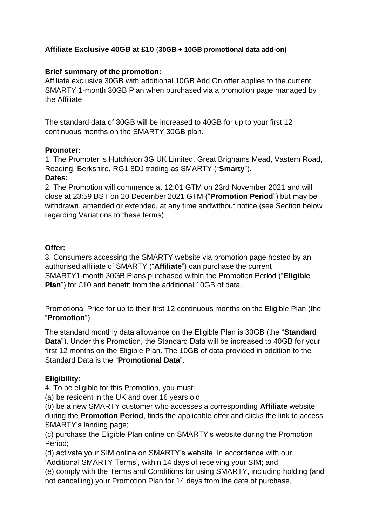# **Affiliate Exclusive 40GB at £10** (**30GB + 10GB promotional data add-on)**

# **Brief summary of the promotion:**

Affiliate exclusive 30GB with additional 10GB Add On offer applies to the current SMARTY 1-month 30GB Plan when purchased via a promotion page managed by the Affiliate.

The standard data of 30GB will be increased to 40GB for up to your first 12 continuous months on the SMARTY 30GB plan.

# **Promoter:**

1. The Promoter is Hutchison 3G UK Limited, Great Brighams Mead, Vastern Road, Reading, Berkshire, RG1 8DJ trading as SMARTY ("**Smarty**").

#### **Dates:**

2. The Promotion will commence at 12:01 GTM on 23rd November 2021 and will close at 23:59 BST on 20 December 2021 GTM ("**Promotion Period**") but may be withdrawn, amended or extended, at any time andwithout notice (see Section below regarding Variations to these terms)

# **Offer:**

3. Consumers accessing the SMARTY website via promotion page hosted by an authorised affiliate of SMARTY ("**Affiliate**") can purchase the current SMARTY1-month 30GB Plans purchased within the Promotion Period ("**Eligible Plan**") for £10 and benefit from the additional 10GB of data.

Promotional Price for up to their first 12 continuous months on the Eligible Plan (the "**Promotion**")

The standard monthly data allowance on the Eligible Plan is 30GB (the "**Standard Data**"). Under this Promotion, the Standard Data will be increased to 40GB for your first 12 months on the Eligible Plan. The 10GB of data provided in addition to the Standard Data is the "**Promotional Data**".

# **Eligibility:**

4. To be eligible for this Promotion, you must:

(a) be resident in the UK and over 16 years old;

(b) be a new SMARTY customer who accesses a corresponding **Affiliate** website during the **Promotion Period**, finds the applicable offer and clicks the link to access SMARTY's landing page;

(c) purchase the Eligible Plan online on SMARTY's website during the Promotion Period;

(d) activate your SIM online on SMARTY's website, in accordance with our 'Additional SMARTY Terms', within 14 days of receiving your SIM; and

(e) comply with the Terms and Conditions for using SMARTY, including holding (and not cancelling) your Promotion Plan for 14 days from the date of purchase,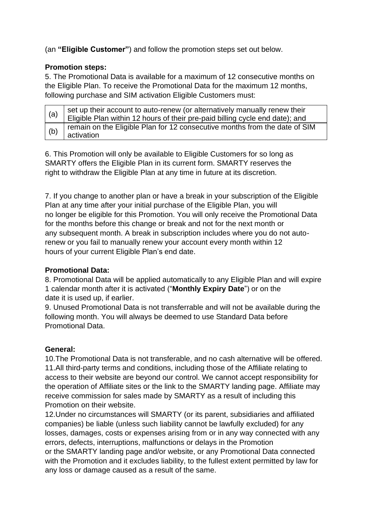(an **"Eligible Customer"**) and follow the promotion steps set out below.

#### **Promotion steps:**

5. The Promotional Data is available for a maximum of 12 consecutive months on the Eligible Plan. To receive the Promotional Data for the maximum 12 months, following purchase and SIM activation Eligible Customers must:

| (a) | I set up their account to auto-renew (or alternatively manually renew their<br>Eligible Plan within 12 hours of their pre-paid billing cycle end date); and |
|-----|-------------------------------------------------------------------------------------------------------------------------------------------------------------|
|     |                                                                                                                                                             |
| (b) | remain on the Eligible Plan for 12 consecutive months from the date of SIM<br>activation                                                                    |

6. This Promotion will only be available to Eligible Customers for so long as SMARTY offers the Eligible Plan in its current form. SMARTY reserves the right to withdraw the Eligible Plan at any time in future at its discretion.

7. If you change to another plan or have a break in your subscription of the Eligible Plan at any time after your initial purchase of the Eligible Plan, you will no longer be eligible for this Promotion. You will only receive the Promotional Data for the months before this change or break and not for the next month or any subsequent month. A break in subscription includes where you do not autorenew or you fail to manually renew your account every month within 12 hours of your current Eligible Plan's end date.

# **Promotional Data:**

8. Promotional Data will be applied automatically to any Eligible Plan and will expire 1 calendar month after it is activated ("**Monthly Expiry Date**") or on the date it is used up, if earlier.

9. Unused Promotional Data is not transferrable and will not be available during the following month. You will always be deemed to use Standard Data before Promotional Data.

# **General:**

10.The Promotional Data is not transferable, and no cash alternative will be offered. 11.All third-party terms and conditions, including those of the Affiliate relating to access to their website are beyond our control. We cannot accept responsibility for the operation of Affiliate sites or the link to the SMARTY landing page. Affiliate may receive commission for sales made by SMARTY as a result of including this Promotion on their website.

12.Under no circumstances will SMARTY (or its parent, subsidiaries and affiliated companies) be liable (unless such liability cannot be lawfully excluded) for any losses, damages, costs or expenses arising from or in any way connected with any errors, defects, interruptions, malfunctions or delays in the Promotion or the SMARTY landing page and/or website, or any Promotional Data connected with the Promotion and it excludes liability, to the fullest extent permitted by law for any loss or damage caused as a result of the same.